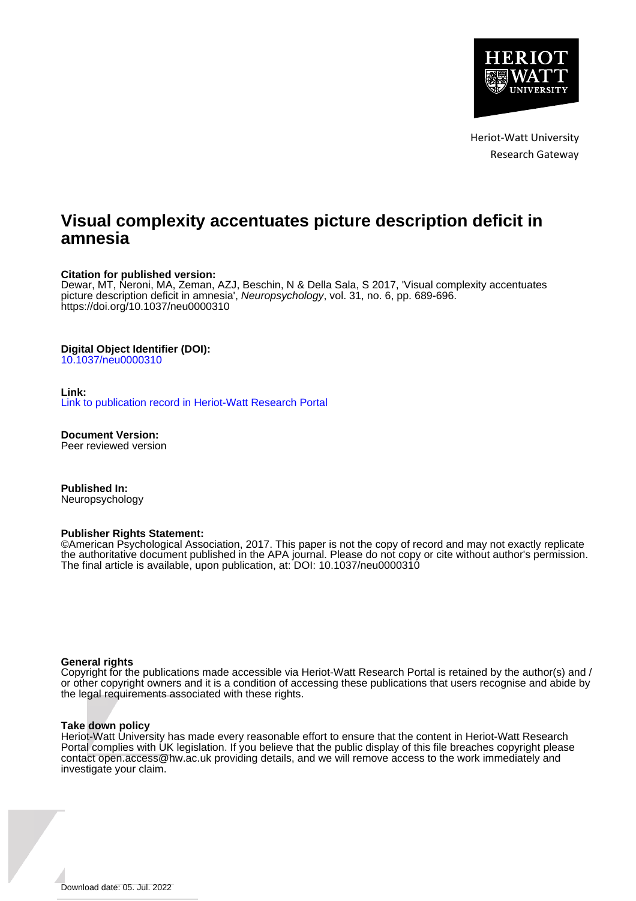

Heriot-Watt University Research Gateway

# **Visual complexity accentuates picture description deficit in amnesia**

#### **Citation for published version:**

Dewar, MT, Neroni, MA, Zeman, AZJ, Beschin, N & Della Sala, S 2017, 'Visual complexity accentuates picture description deficit in amnesia', Neuropsychology, vol. 31, no. 6, pp. 689-696. <https://doi.org/10.1037/neu0000310>

#### **Digital Object Identifier (DOI):**

[10.1037/neu0000310](https://doi.org/10.1037/neu0000310)

#### **Link:**

[Link to publication record in Heriot-Watt Research Portal](https://researchportal.hw.ac.uk/en/publications/bd058eb0-ef19-454b-9a8c-bc5f68388e9d)

**Document Version:** Peer reviewed version

**Published In:** Neuropsychology

#### **Publisher Rights Statement:**

©American Psychological Association, 2017. This paper is not the copy of record and may not exactly replicate the authoritative document published in the APA journal. Please do not copy or cite without author's permission. The final article is available, upon publication, at: DOI: 10.1037/neu0000310

#### **General rights**

Copyright for the publications made accessible via Heriot-Watt Research Portal is retained by the author(s) and / or other copyright owners and it is a condition of accessing these publications that users recognise and abide by the legal requirements associated with these rights.

#### **Take down policy**

Heriot-Watt University has made every reasonable effort to ensure that the content in Heriot-Watt Research Portal complies with UK legislation. If you believe that the public display of this file breaches copyright please contact open.access@hw.ac.uk providing details, and we will remove access to the work immediately and investigate your claim.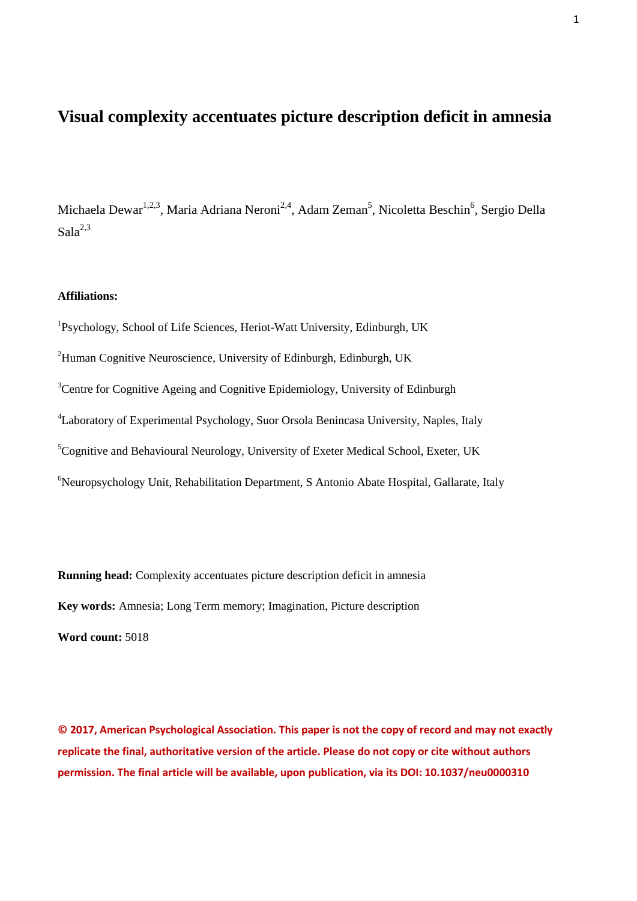# **Visual complexity accentuates picture description deficit in amnesia**

Michaela Dewar<sup>1,2,3</sup>, Maria Adriana Neroni<sup>2,4</sup>, Adam Zeman<sup>5</sup>, Nicoletta Beschin<sup>6</sup>, Sergio Della  $Sala<sup>2,3</sup>$ 

### **Affiliations:**

<sup>1</sup>Psychology, School of Life Sciences, Heriot-Watt University, Edinburgh, UK  $^{2}$ Human Cognitive Neuroscience, University of Edinburgh, Edinburgh, UK <sup>3</sup>Centre for Cognitive Ageing and Cognitive Epidemiology, University of Edinburgh <sup>4</sup>Laboratory of Experimental Psychology, Suor Orsola Benincasa University, Naples, Italy <sup>5</sup>Cognitive and Behavioural Neurology, University of Exeter Medical School, Exeter, UK <sup>6</sup>Neuropsychology Unit, Rehabilitation Department, S Antonio Abate Hospital, Gallarate, Italy

**Running head:** Complexity accentuates picture description deficit in amnesia **Key words:** Amnesia; Long Term memory; Imagination, Picture description **Word count:** 5018

**© 2017, American Psychological Association. This paper is not the copy of record and may not exactly replicate the final, authoritative version of the article. Please do not copy or cite without authors permission. The final article will be available, upon publication, via its DOI: 10.1037/neu0000310**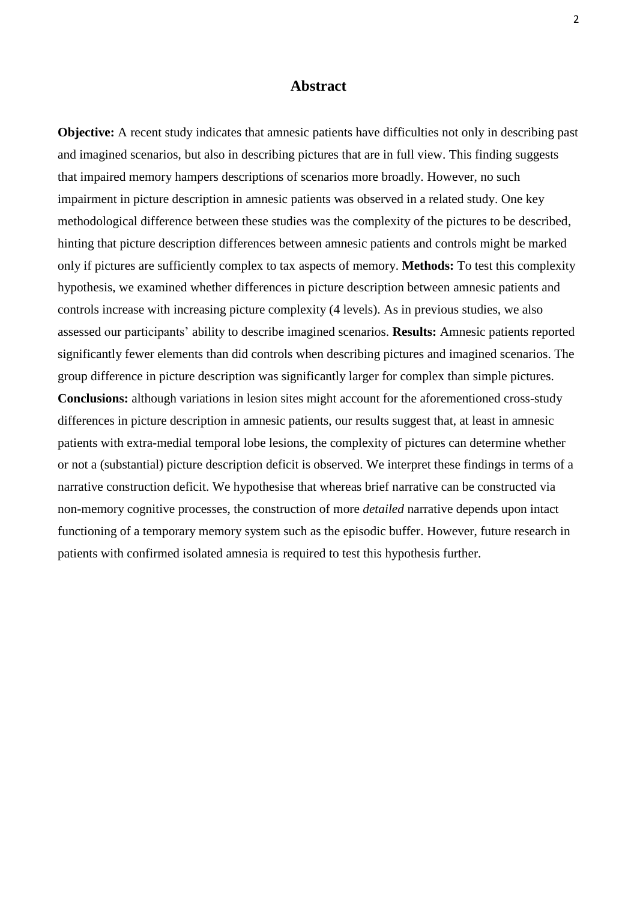## **Abstract**

**Objective:** A recent study indicates that amnesic patients have difficulties not only in describing past and imagined scenarios, but also in describing pictures that are in full view. This finding suggests that impaired memory hampers descriptions of scenarios more broadly. However, no such impairment in picture description in amnesic patients was observed in a related study. One key methodological difference between these studies was the complexity of the pictures to be described, hinting that picture description differences between amnesic patients and controls might be marked only if pictures are sufficiently complex to tax aspects of memory. **Methods:** To test this complexity hypothesis, we examined whether differences in picture description between amnesic patients and controls increase with increasing picture complexity (4 levels). As in previous studies, we also assessed our participants' ability to describe imagined scenarios. **Results:** Amnesic patients reported significantly fewer elements than did controls when describing pictures and imagined scenarios. The group difference in picture description was significantly larger for complex than simple pictures. **Conclusions:** although variations in lesion sites might account for the aforementioned cross-study differences in picture description in amnesic patients, our results suggest that, at least in amnesic patients with extra-medial temporal lobe lesions, the complexity of pictures can determine whether or not a (substantial) picture description deficit is observed. We interpret these findings in terms of a narrative construction deficit. We hypothesise that whereas brief narrative can be constructed via non-memory cognitive processes, the construction of more *detailed* narrative depends upon intact functioning of a temporary memory system such as the episodic buffer. However, future research in patients with confirmed isolated amnesia is required to test this hypothesis further.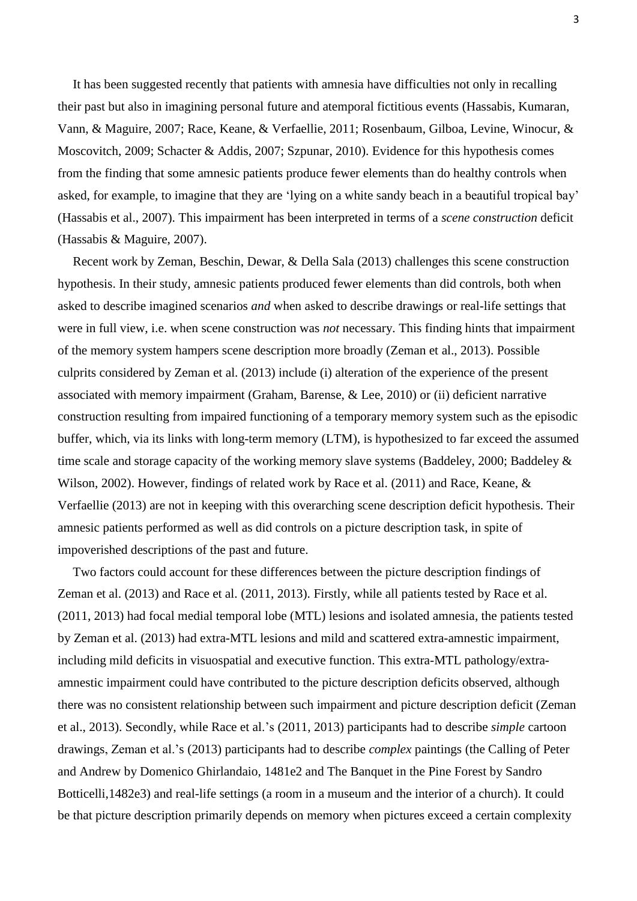It has been suggested recently that patients with amnesia have difficulties not only in recalling their past but also in imagining personal future and atemporal fictitious events (Hassabis, Kumaran, Vann, & Maguire, 2007; Race, Keane, & Verfaellie, 2011; Rosenbaum, Gilboa, Levine, Winocur, & Moscovitch, 2009; Schacter & Addis, 2007; Szpunar, 2010). Evidence for this hypothesis comes from the finding that some amnesic patients produce fewer elements than do healthy controls when asked, for example, to imagine that they are 'lying on a white sandy beach in a beautiful tropical bay' (Hassabis et al., 2007). This impairment has been interpreted in terms of a *scene construction* deficit (Hassabis & Maguire, 2007).

Recent work by Zeman, Beschin, Dewar, & Della Sala (2013) challenges this scene construction hypothesis. In their study, amnesic patients produced fewer elements than did controls, both when asked to describe imagined scenarios *and* when asked to describe drawings or real-life settings that were in full view, i.e. when scene construction was *not* necessary. This finding hints that impairment of the memory system hampers scene description more broadly (Zeman et al., 2013). Possible culprits considered by Zeman et al. (2013) include (i) alteration of the experience of the present associated with memory impairment (Graham, Barense, & Lee, 2010) or (ii) deficient narrative construction resulting from impaired functioning of a temporary memory system such as the episodic buffer, which, via its links with long-term memory (LTM), is hypothesized to far exceed the assumed time scale and storage capacity of the working memory slave systems (Baddeley, 2000; Baddeley & Wilson, 2002). However, findings of related work by Race et al. (2011) and Race, Keane, & Verfaellie (2013) are not in keeping with this overarching scene description deficit hypothesis. Their amnesic patients performed as well as did controls on a picture description task, in spite of impoverished descriptions of the past and future.

Two factors could account for these differences between the picture description findings of Zeman et al. (2013) and Race et al. (2011, 2013). Firstly, while all patients tested by Race et al. (2011, 2013) had focal medial temporal lobe (MTL) lesions and isolated amnesia, the patients tested by Zeman et al. (2013) had extra-MTL lesions and mild and scattered extra-amnestic impairment, including mild deficits in visuospatial and executive function. This extra-MTL pathology/extraamnestic impairment could have contributed to the picture description deficits observed, although there was no consistent relationship between such impairment and picture description deficit (Zeman et al., 2013). Secondly, while Race et al.'s (2011, 2013) participants had to describe *simple* cartoon drawings, Zeman et al.'s (2013) participants had to describe *complex* paintings (the Calling of Peter and Andrew by Domenico Ghirlandaio, 1481e2 and The Banquet in the Pine Forest by Sandro Botticelli,1482e3) and real-life settings (a room in a museum and the interior of a church). It could be that picture description primarily depends on memory when pictures exceed a certain complexity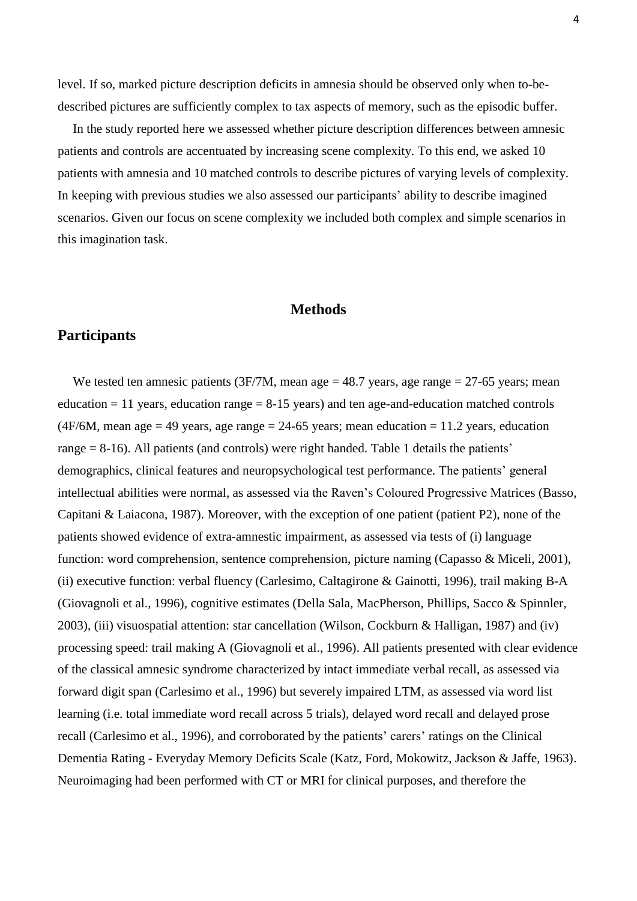level. If so, marked picture description deficits in amnesia should be observed only when to-bedescribed pictures are sufficiently complex to tax aspects of memory, such as the episodic buffer.

In the study reported here we assessed whether picture description differences between amnesic patients and controls are accentuated by increasing scene complexity. To this end, we asked 10 patients with amnesia and 10 matched controls to describe pictures of varying levels of complexity. In keeping with previous studies we also assessed our participants' ability to describe imagined scenarios. Given our focus on scene complexity we included both complex and simple scenarios in this imagination task.

### **Methods**

# **Participants**

We tested ten amnesic patients (3F/7M, mean age  $= 48.7$  years, age range  $= 27-65$  years; mean education  $= 11$  years, education range  $= 8-15$  years) and ten age-and-education matched controls (4F/6M, mean age = 49 years, age range = 24-65 years; mean education = 11.2 years, education range = 8-16). All patients (and controls) were right handed. Table 1 details the patients' demographics, clinical features and neuropsychological test performance. The patients' general intellectual abilities were normal, as assessed via the Raven's Coloured Progressive Matrices (Basso, Capitani & Laiacona, 1987). Moreover, with the exception of one patient (patient P2), none of the patients showed evidence of extra-amnestic impairment, as assessed via tests of (i) language function: word comprehension, sentence comprehension, picture naming (Capasso & Miceli, 2001), (ii) executive function: verbal fluency (Carlesimo, Caltagirone & Gainotti, 1996), trail making B-A (Giovagnoli et al., 1996), cognitive estimates (Della Sala, MacPherson, Phillips, Sacco & Spinnler, 2003), (iii) visuospatial attention: star cancellation (Wilson, Cockburn & Halligan, 1987) and (iv) processing speed: trail making A (Giovagnoli et al., 1996). All patients presented with clear evidence of the classical amnesic syndrome characterized by intact immediate verbal recall, as assessed via forward digit span (Carlesimo et al., 1996) but severely impaired LTM, as assessed via word list learning (i.e. total immediate word recall across 5 trials), delayed word recall and delayed prose recall (Carlesimo et al., 1996), and corroborated by the patients' carers' ratings on the Clinical Dementia Rating - Everyday Memory Deficits Scale (Katz, Ford, Mokowitz, Jackson & Jaffe, 1963). Neuroimaging had been performed with CT or MRI for clinical purposes, and therefore the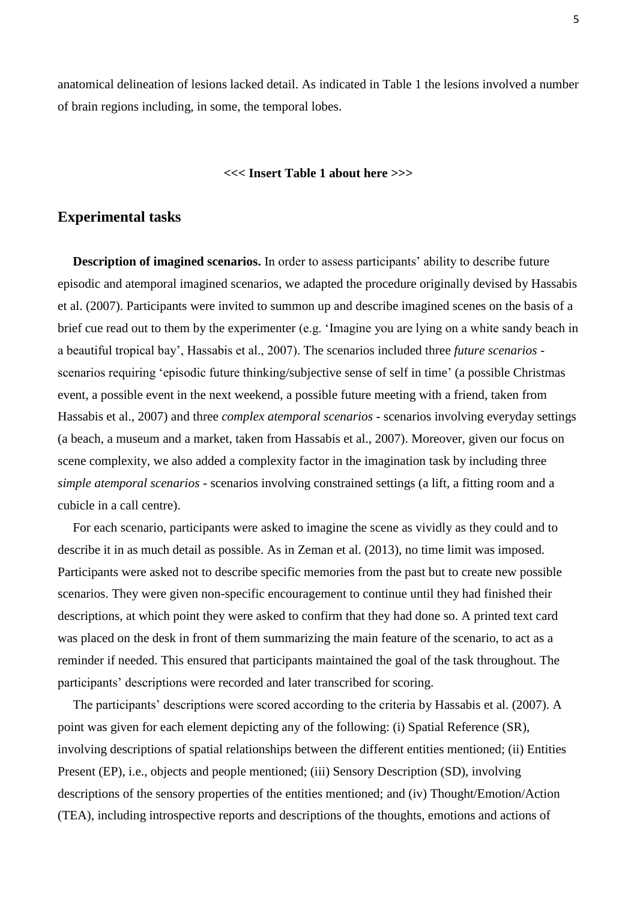anatomical delineation of lesions lacked detail. As indicated in Table 1 the lesions involved a number of brain regions including, in some, the temporal lobes.

## **<<< Insert Table 1 about here >>>**

## **Experimental tasks**

**Description of imagined scenarios.** In order to assess participants' ability to describe future episodic and atemporal imagined scenarios, we adapted the procedure originally devised by Hassabis et al. (2007). Participants were invited to summon up and describe imagined scenes on the basis of a brief cue read out to them by the experimenter (e.g. 'Imagine you are lying on a white sandy beach in a beautiful tropical bay', Hassabis et al., 2007). The scenarios included three *future scenarios* scenarios requiring 'episodic future thinking/subjective sense of self in time' (a possible Christmas event, a possible event in the next weekend, a possible future meeting with a friend, taken from Hassabis et al., 2007) and three *complex atemporal scenarios -* scenarios involving everyday settings (a beach, a museum and a market, taken from Hassabis et al., 2007). Moreover, given our focus on scene complexity, we also added a complexity factor in the imagination task by including three *simple atemporal scenarios* - scenarios involving constrained settings (a lift, a fitting room and a cubicle in a call centre).

For each scenario, participants were asked to imagine the scene as vividly as they could and to describe it in as much detail as possible. As in Zeman et al. (2013), no time limit was imposed. Participants were asked not to describe specific memories from the past but to create new possible scenarios. They were given non-specific encouragement to continue until they had finished their descriptions, at which point they were asked to confirm that they had done so. A printed text card was placed on the desk in front of them summarizing the main feature of the scenario, to act as a reminder if needed. This ensured that participants maintained the goal of the task throughout. The participants' descriptions were recorded and later transcribed for scoring.

The participants' descriptions were scored according to the criteria by Hassabis et al. (2007). A point was given for each element depicting any of the following: (i) Spatial Reference (SR), involving descriptions of spatial relationships between the different entities mentioned; (ii) Entities Present (EP), i.e., objects and people mentioned; (iii) Sensory Description (SD), involving descriptions of the sensory properties of the entities mentioned; and (iv) Thought/Emotion/Action (TEA), including introspective reports and descriptions of the thoughts, emotions and actions of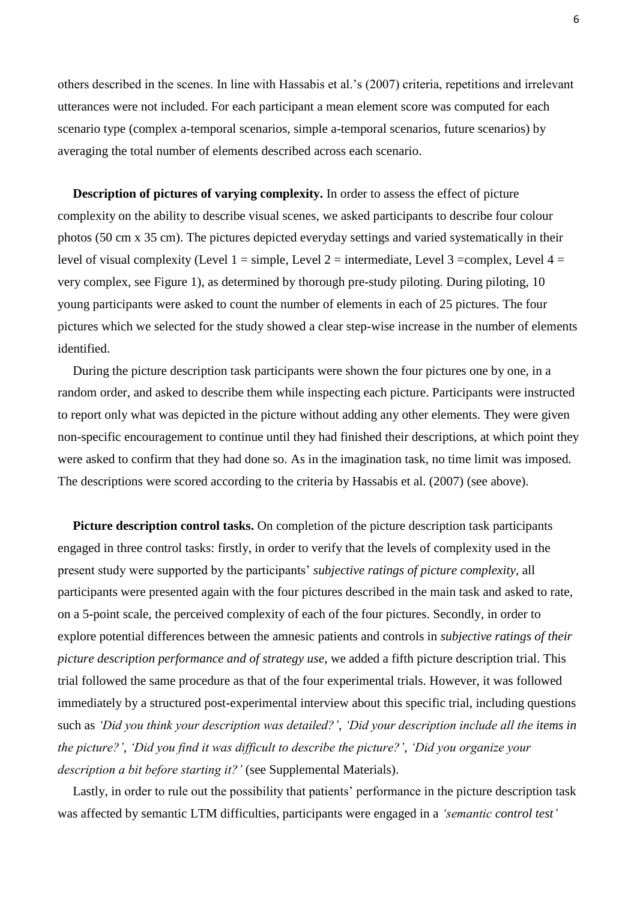others described in the scenes. In line with Hassabis et al.'s (2007) criteria, repetitions and irrelevant utterances were not included. For each participant a mean element score was computed for each scenario type (complex a-temporal scenarios, simple a-temporal scenarios, future scenarios) by averaging the total number of elements described across each scenario.

**Description of pictures of varying complexity.** In order to assess the effect of picture complexity on the ability to describe visual scenes, we asked participants to describe four colour photos (50 cm x 35 cm). The pictures depicted everyday settings and varied systematically in their level of visual complexity (Level 1 = simple, Level 2 = intermediate, Level 3 = complex, Level 4 = very complex, see Figure 1), as determined by thorough pre-study piloting. During piloting, 10 young participants were asked to count the number of elements in each of 25 pictures. The four pictures which we selected for the study showed a clear step-wise increase in the number of elements identified.

During the picture description task participants were shown the four pictures one by one, in a random order, and asked to describe them while inspecting each picture. Participants were instructed to report only what was depicted in the picture without adding any other elements. They were given non-specific encouragement to continue until they had finished their descriptions, at which point they were asked to confirm that they had done so. As in the imagination task, no time limit was imposed. The descriptions were scored according to the criteria by Hassabis et al. (2007) (see above).

**Picture description control tasks.** On completion of the picture description task participants engaged in three control tasks: firstly, in order to verify that the levels of complexity used in the present study were supported by the participants' *subjective ratings of picture complexity*, all participants were presented again with the four pictures described in the main task and asked to rate, on a 5-point scale, the perceived complexity of each of the four pictures. Secondly, in order to explore potential differences between the amnesic patients and controls in *subjective ratings of their picture description performance and of strategy use*, we added a fifth picture description trial. This trial followed the same procedure as that of the four experimental trials. However, it was followed immediately by a structured post-experimental interview about this specific trial, including questions such as *'Did you think your description was detailed?'*, *'Did your description include all the items in the picture?'*, *'Did you find it was difficult to describe the picture?'*, *'Did you organize your description a bit before starting it?'* (see Supplemental Materials).

Lastly, in order to rule out the possibility that patients' performance in the picture description task was affected by semantic LTM difficulties, participants were engaged in a *'semantic control test'*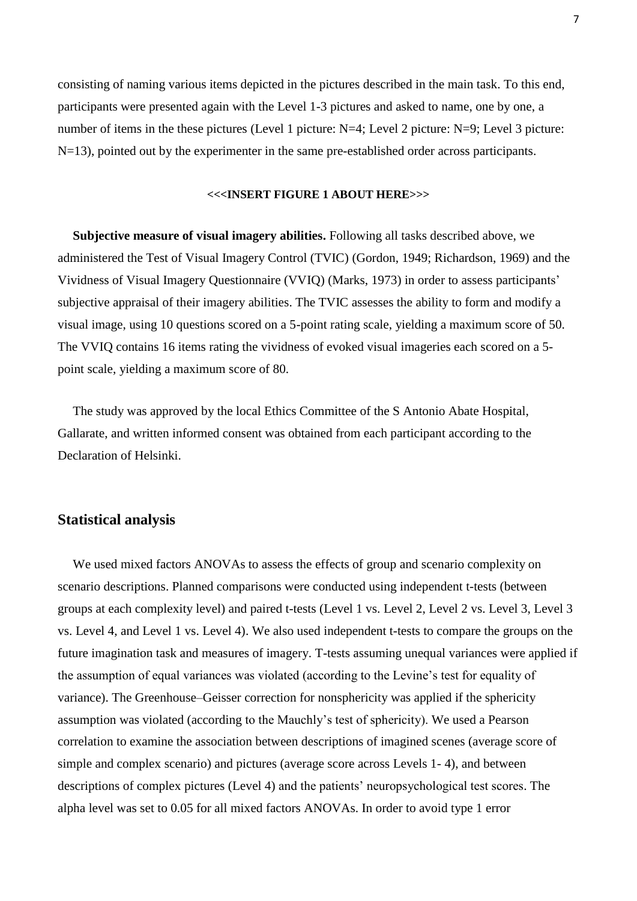consisting of naming various items depicted in the pictures described in the main task. To this end, participants were presented again with the Level 1-3 pictures and asked to name, one by one, a number of items in the these pictures (Level 1 picture: N=4; Level 2 picture: N=9; Level 3 picture: N=13), pointed out by the experimenter in the same pre-established order across participants.

### **<<<INSERT FIGURE 1 ABOUT HERE>>>**

**Subjective measure of visual imagery abilities.** Following all tasks described above, we administered the Test of Visual Imagery Control (TVIC) (Gordon, 1949; Richardson, 1969) and the Vividness of Visual Imagery Questionnaire (VVIQ) (Marks, 1973) in order to assess participants' subjective appraisal of their imagery abilities. The TVIC assesses the ability to form and modify a visual image, using 10 questions scored on a 5-point rating scale, yielding a maximum score of 50. The VVIQ contains 16 items rating the vividness of evoked visual imageries each scored on a 5 point scale, yielding a maximum score of 80.

The study was approved by the local Ethics Committee of the S Antonio Abate Hospital, Gallarate, and written informed consent was obtained from each participant according to the Declaration of Helsinki.

## **Statistical analysis**

We used mixed factors ANOVAs to assess the effects of group and scenario complexity on scenario descriptions. Planned comparisons were conducted using independent t-tests (between groups at each complexity level) and paired t-tests (Level 1 vs. Level 2, Level 2 vs. Level 3, Level 3 vs. Level 4, and Level 1 vs. Level 4). We also used independent t-tests to compare the groups on the future imagination task and measures of imagery. T-tests assuming unequal variances were applied if the assumption of equal variances was violated (according to the Levine's test for equality of variance). The Greenhouse–Geisser correction for nonsphericity was applied if the sphericity assumption was violated (according to the Mauchly's test of sphericity). We used a Pearson correlation to examine the association between descriptions of imagined scenes (average score of simple and complex scenario) and pictures (average score across Levels 1- 4), and between descriptions of complex pictures (Level 4) and the patients' neuropsychological test scores. The alpha level was set to 0.05 for all mixed factors ANOVAs. In order to avoid type 1 error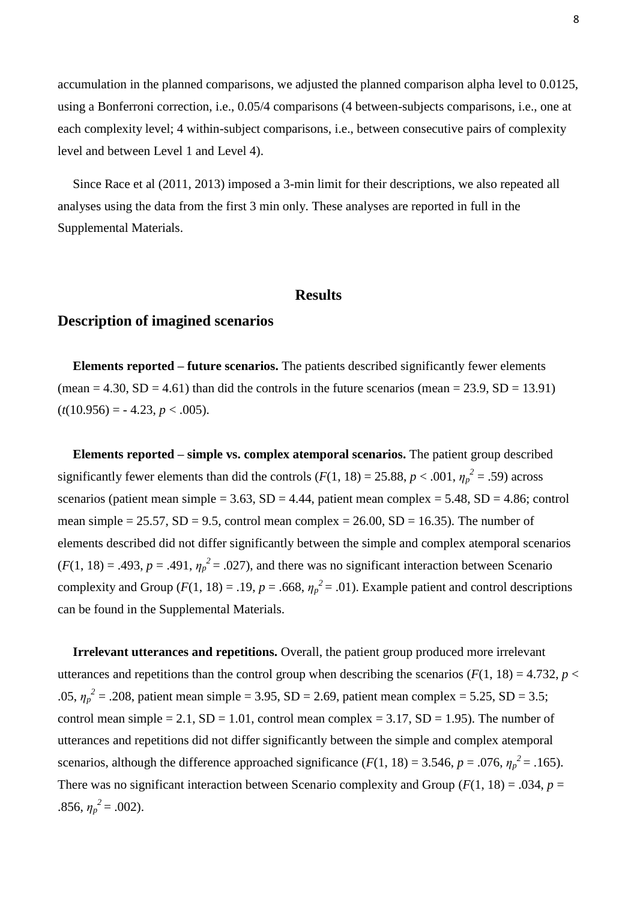accumulation in the planned comparisons, we adjusted the planned comparison alpha level to 0.0125, using a Bonferroni correction, i.e., 0.05/4 comparisons (4 between-subjects comparisons, i.e., one at each complexity level; 4 within-subject comparisons, i.e., between consecutive pairs of complexity level and between Level 1 and Level 4).

Since Race et al (2011, 2013) imposed a 3-min limit for their descriptions, we also repeated all analyses using the data from the first 3 min only. These analyses are reported in full in the Supplemental Materials.

## **Results**

## **Description of imagined scenarios**

**Elements reported – future scenarios.** The patients described significantly fewer elements (mean = 4.30,  $SD = 4.61$ ) than did the controls in the future scenarios (mean = 23.9,  $SD = 13.91$ )  $(t(10.956) = -4.23, p < .005).$ 

**Elements reported – simple vs. complex atemporal scenarios.** The patient group described significantly fewer elements than did the controls  $(F(1, 18) = 25.88, p < .001, \eta_p^2 = .59)$  across scenarios (patient mean simple =  $3.63$ , SD =  $4.44$ , patient mean complex =  $5.48$ , SD =  $4.86$ ; control mean simple =  $25.57$ ,  $SD = 9.5$ , control mean complex =  $26.00$ ,  $SD = 16.35$ ). The number of elements described did not differ significantly between the simple and complex atemporal scenarios  $(F(1, 18) = .493, p = .491, \eta_p^2 = .027)$ , and there was no significant interaction between Scenario complexity and Group ( $F(1, 18) = .19$ ,  $p = .668$ ,  $\eta_p^2 = .01$ ). Example patient and control descriptions can be found in the Supplemental Materials.

**Irrelevant utterances and repetitions.** Overall, the patient group produced more irrelevant utterances and repetitions than the control group when describing the scenarios ( $F(1, 18) = 4.732$ ,  $p <$ .05,  $\eta_p^2 = 0.208$ , patient mean simple = 3.95, SD = 2.69, patient mean complex = 5.25, SD = 3.5; control mean simple = 2.1,  $SD = 1.01$ , control mean complex = 3.17,  $SD = 1.95$ ). The number of utterances and repetitions did not differ significantly between the simple and complex atemporal scenarios, although the difference approached significance  $(F(1, 18) = 3.546, p = .076, \eta_p^2 = .165)$ . There was no significant interaction between Scenario complexity and Group ( $F(1, 18) = .034$ ,  $p =$ .856,  $\eta_p^2 = .002$ ).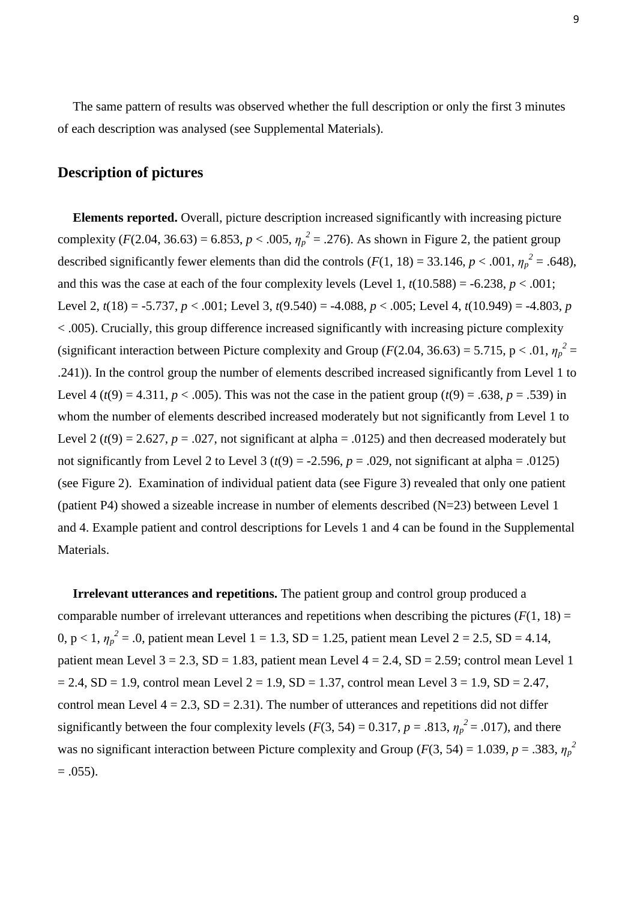The same pattern of results was observed whether the full description or only the first 3 minutes of each description was analysed (see Supplemental Materials).

# **Description of pictures**

**Elements reported.** Overall, picture description increased significantly with increasing picture complexity (*F*(2.04, 36.63) = 6.853, *p* < .005,  $\eta_p^2$  = .276). As shown in Figure 2, the patient group described significantly fewer elements than did the controls  $(F(1, 18) = 33.146, p < .001, \eta_p^2 = .648)$ , and this was the case at each of the four complexity levels (Level 1,  $t(10.588) = -6.238$ ,  $p < .001$ ; Level 2, *t*(18) = -5.737, *p* < .001; Level 3, *t*(9.540) = -4.088, *p* < .005; Level 4, *t*(10.949) = -4.803, *p*  $\langle 0.005 \rangle$ . Crucially, this group difference increased significantly with increasing picture complexity (significant interaction between Picture complexity and Group ( $F(2.04, 36.63) = 5.715$ , p < .01,  $\eta_p^2 =$ .241)). In the control group the number of elements described increased significantly from Level 1 to Level 4 ( $t(9) = 4.311$ ,  $p < .005$ ). This was not the case in the patient group ( $t(9) = .638$ ,  $p = .539$ ) in whom the number of elements described increased moderately but not significantly from Level 1 to Level 2 ( $t(9) = 2.627$ ,  $p = .027$ , not significant at alpha = .0125) and then decreased moderately but not significantly from Level 2 to Level 3 ( $t(9) = -2.596$ ,  $p = .029$ , not significant at alpha = .0125) (see Figure 2). Examination of individual patient data (see Figure 3) revealed that only one patient (patient P4) showed a sizeable increase in number of elements described (N=23) between Level 1 and 4. Example patient and control descriptions for Levels 1 and 4 can be found in the Supplemental Materials.

**Irrelevant utterances and repetitions.** The patient group and control group produced a comparable number of irrelevant utterances and repetitions when describing the pictures  $(F(1, 18))$ 0,  $p < 1$ ,  $\eta_p^2 = .0$ , patient mean Level 1 = 1.3, SD = 1.25, patient mean Level 2 = 2.5, SD = 4.14, patient mean Level  $3 = 2.3$ ,  $SD = 1.83$ , patient mean Level  $4 = 2.4$ ,  $SD = 2.59$ ; control mean Level 1  $= 2.4$ , SD = 1.9, control mean Level 2 = 1.9, SD = 1.37, control mean Level 3 = 1.9, SD = 2.47, control mean Level  $4 = 2.3$ , SD = 2.31). The number of utterances and repetitions did not differ significantly between the four complexity levels ( $F(3, 54) = 0.317$ ,  $p = .813$ ,  $\eta_p^2 = .017$ ), and there was no significant interaction between Picture complexity and Group ( $F(3, 54) = 1.039$ ,  $p = .383$ ,  $\eta_p^2$  $= .055$ ).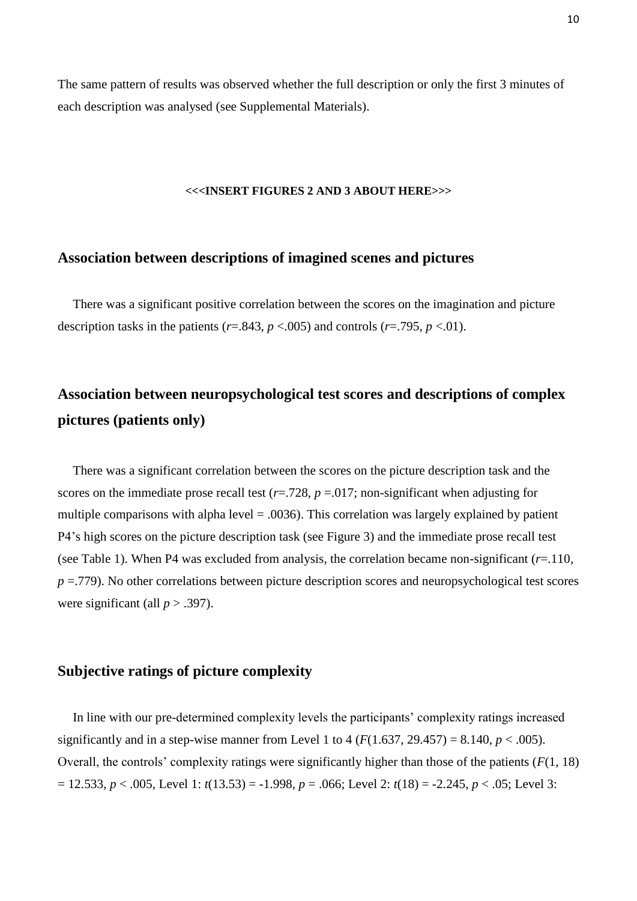The same pattern of results was observed whether the full description or only the first 3 minutes of each description was analysed (see Supplemental Materials).

#### **<<<INSERT FIGURES 2 AND 3 ABOUT HERE>>>**

## **Association between descriptions of imagined scenes and pictures**

There was a significant positive correlation between the scores on the imagination and picture description tasks in the patients ( $r = .843$ ,  $p < .005$ ) and controls ( $r = .795$ ,  $p < .01$ ).

# **Association between neuropsychological test scores and descriptions of complex pictures (patients only)**

There was a significant correlation between the scores on the picture description task and the scores on the immediate prose recall test  $(r=.728, p=.017;$  non-significant when adjusting for multiple comparisons with alpha level = .0036). This correlation was largely explained by patient P4's high scores on the picture description task (see Figure 3) and the immediate prose recall test (see Table 1). When P4 was excluded from analysis, the correlation became non-significant (*r*=.110, *p* = -779). No other correlations between picture description scores and neuropsychological test scores were significant (all  $p > .397$ ).

## **Subjective ratings of picture complexity**

In line with our pre-determined complexity levels the participants' complexity ratings increased significantly and in a step-wise manner from Level 1 to 4 ( $F(1.637, 29.457) = 8.140, p < .005$ ). Overall, the controls' complexity ratings were significantly higher than those of the patients (*F*(1, 18) = 12.533, *p* < .005, Level 1: *t*(13.53) = -1.998, *p* = .066; Level 2: *t*(18) = -2.245, *p* < .05; Level 3: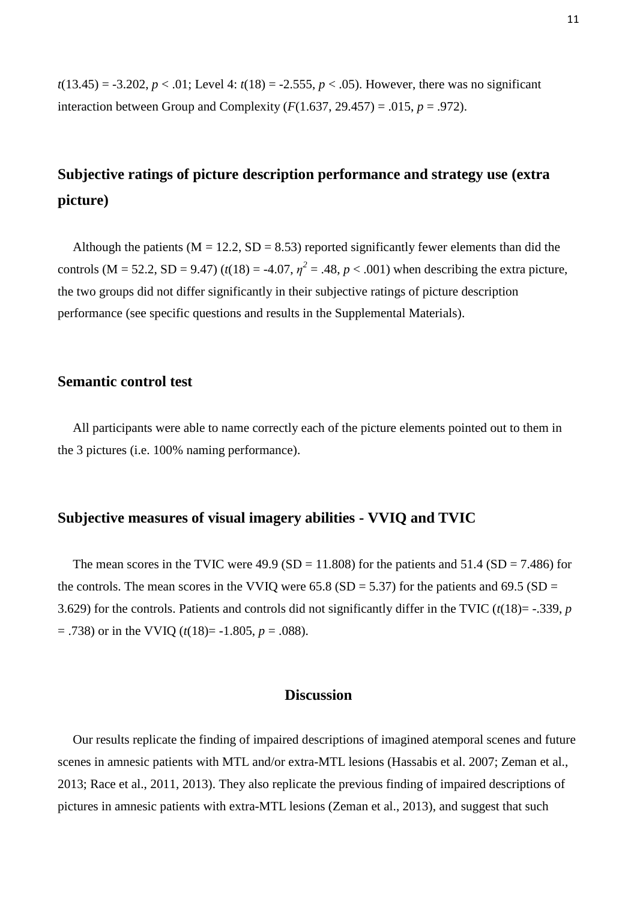$t(13.45) = -3.202$ ,  $p < .01$ ; Level 4:  $t(18) = -2.555$ ,  $p < .05$ ). However, there was no significant interaction between Group and Complexity  $(F(1.637, 29.457) = .015, p = .972)$ .

# **Subjective ratings of picture description performance and strategy use (extra picture)**

Although the patients ( $M = 12.2$ ,  $SD = 8.53$ ) reported significantly fewer elements than did the controls (M = 52.2, SD = 9.47) ( $t(18) = -4.07$ ,  $\eta^2 = .48$ ,  $p < .001$ ) when describing the extra picture, the two groups did not differ significantly in their subjective ratings of picture description performance (see specific questions and results in the Supplemental Materials).

## **Semantic control test**

All participants were able to name correctly each of the picture elements pointed out to them in the 3 pictures (i.e. 100% naming performance).

## **Subjective measures of visual imagery abilities - VVIQ and TVIC**

The mean scores in the TVIC were  $49.9$  (SD = 11.808) for the patients and  $51.4$  (SD = 7.486) for the controls. The mean scores in the VVIQ were  $65.8$  (SD = 5.37) for the patients and  $69.5$  (SD = 3.629) for the controls. Patients and controls did not significantly differ in the TVIC (*t*(18)= -.339, *p*  $=$  .738) or in the VVIQ ( $t(18)$  $=$  -1.805,  $p = .088$ ).

## **Discussion**

Our results replicate the finding of impaired descriptions of imagined atemporal scenes and future scenes in amnesic patients with MTL and/or extra-MTL lesions (Hassabis et al. 2007; Zeman et al., 2013; Race et al., 2011, 2013). They also replicate the previous finding of impaired descriptions of pictures in amnesic patients with extra-MTL lesions (Zeman et al., 2013), and suggest that such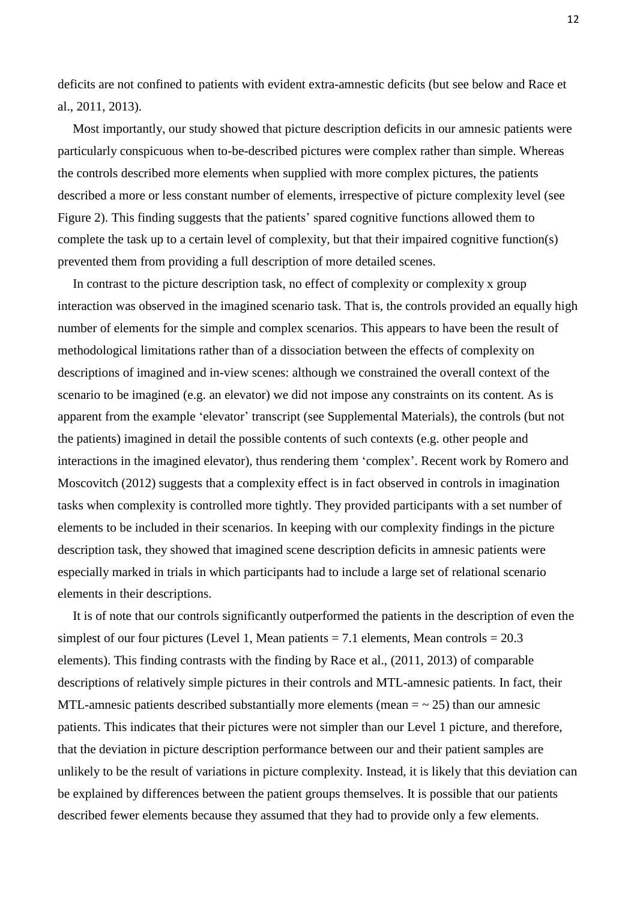deficits are not confined to patients with evident extra-amnestic deficits (but see below and Race et al., 2011, 2013).

Most importantly, our study showed that picture description deficits in our amnesic patients were particularly conspicuous when to-be-described pictures were complex rather than simple. Whereas the controls described more elements when supplied with more complex pictures, the patients described a more or less constant number of elements, irrespective of picture complexity level (see Figure 2). This finding suggests that the patients' spared cognitive functions allowed them to complete the task up to a certain level of complexity, but that their impaired cognitive function(s) prevented them from providing a full description of more detailed scenes.

In contrast to the picture description task, no effect of complexity or complexity x group interaction was observed in the imagined scenario task. That is, the controls provided an equally high number of elements for the simple and complex scenarios. This appears to have been the result of methodological limitations rather than of a dissociation between the effects of complexity on descriptions of imagined and in-view scenes: although we constrained the overall context of the scenario to be imagined (e.g. an elevator) we did not impose any constraints on its content. As is apparent from the example 'elevator' transcript (see Supplemental Materials), the controls (but not the patients) imagined in detail the possible contents of such contexts (e.g. other people and interactions in the imagined elevator), thus rendering them 'complex'. Recent work by Romero and Moscovitch (2012) suggests that a complexity effect is in fact observed in controls in imagination tasks when complexity is controlled more tightly. They provided participants with a set number of elements to be included in their scenarios. In keeping with our complexity findings in the picture description task, they showed that imagined scene description deficits in amnesic patients were especially marked in trials in which participants had to include a large set of relational scenario elements in their descriptions.

It is of note that our controls significantly outperformed the patients in the description of even the simplest of our four pictures (Level 1, Mean patients  $= 7.1$  elements, Mean controls  $= 20.3$ elements). This finding contrasts with the finding by Race et al., (2011, 2013) of comparable descriptions of relatively simple pictures in their controls and MTL-amnesic patients. In fact, their MTL-amnesic patients described substantially more elements (mean  $=$   $\sim$  25) than our amnesic patients. This indicates that their pictures were not simpler than our Level 1 picture, and therefore, that the deviation in picture description performance between our and their patient samples are unlikely to be the result of variations in picture complexity. Instead, it is likely that this deviation can be explained by differences between the patient groups themselves. It is possible that our patients described fewer elements because they assumed that they had to provide only a few elements.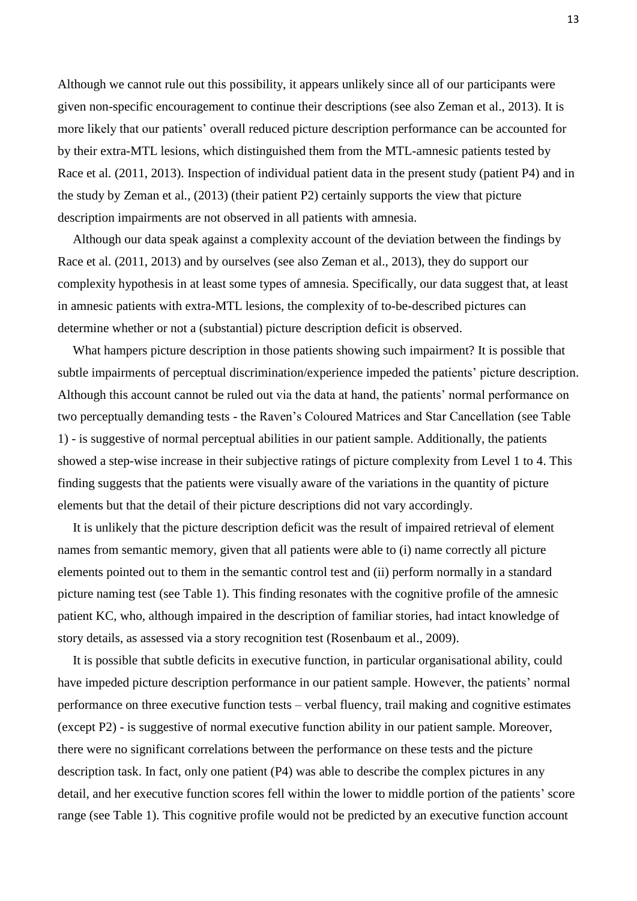Although we cannot rule out this possibility, it appears unlikely since all of our participants were given non-specific encouragement to continue their descriptions (see also Zeman et al., 2013). It is more likely that our patients' overall reduced picture description performance can be accounted for by their extra-MTL lesions, which distinguished them from the MTL-amnesic patients tested by Race et al. (2011, 2013). Inspection of individual patient data in the present study (patient P4) and in the study by Zeman et al., (2013) (their patient P2) certainly supports the view that picture description impairments are not observed in all patients with amnesia.

Although our data speak against a complexity account of the deviation between the findings by Race et al. (2011, 2013) and by ourselves (see also Zeman et al., 2013), they do support our complexity hypothesis in at least some types of amnesia. Specifically, our data suggest that, at least in amnesic patients with extra-MTL lesions, the complexity of to-be-described pictures can determine whether or not a (substantial) picture description deficit is observed.

What hampers picture description in those patients showing such impairment? It is possible that subtle impairments of perceptual discrimination/experience impeded the patients' picture description. Although this account cannot be ruled out via the data at hand, the patients' normal performance on two perceptually demanding tests - the Raven's Coloured Matrices and Star Cancellation (see Table 1) - is suggestive of normal perceptual abilities in our patient sample. Additionally, the patients showed a step-wise increase in their subjective ratings of picture complexity from Level 1 to 4. This finding suggests that the patients were visually aware of the variations in the quantity of picture elements but that the detail of their picture descriptions did not vary accordingly.

It is unlikely that the picture description deficit was the result of impaired retrieval of element names from semantic memory, given that all patients were able to (i) name correctly all picture elements pointed out to them in the semantic control test and (ii) perform normally in a standard picture naming test (see Table 1). This finding resonates with the cognitive profile of the amnesic patient KC, who, although impaired in the description of familiar stories, had intact knowledge of story details, as assessed via a story recognition test (Rosenbaum et al., 2009).

It is possible that subtle deficits in executive function, in particular organisational ability, could have impeded picture description performance in our patient sample. However, the patients' normal performance on three executive function tests – verbal fluency, trail making and cognitive estimates (except P2) - is suggestive of normal executive function ability in our patient sample. Moreover, there were no significant correlations between the performance on these tests and the picture description task. In fact, only one patient (P4) was able to describe the complex pictures in any detail, and her executive function scores fell within the lower to middle portion of the patients' score range (see Table 1). This cognitive profile would not be predicted by an executive function account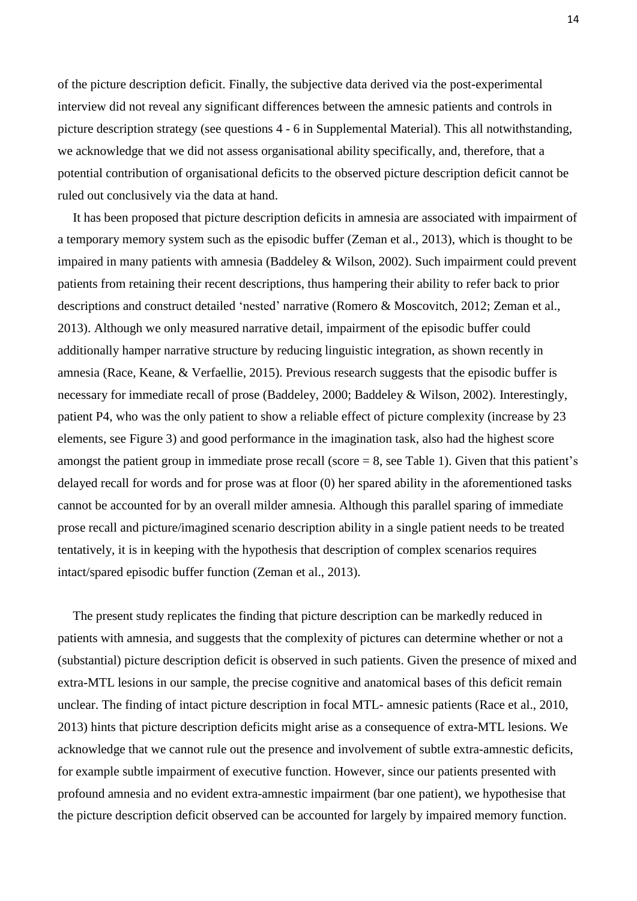of the picture description deficit. Finally, the subjective data derived via the post-experimental interview did not reveal any significant differences between the amnesic patients and controls in picture description strategy (see questions 4 - 6 in Supplemental Material). This all notwithstanding, we acknowledge that we did not assess organisational ability specifically, and, therefore, that a potential contribution of organisational deficits to the observed picture description deficit cannot be ruled out conclusively via the data at hand.

It has been proposed that picture description deficits in amnesia are associated with impairment of a temporary memory system such as the episodic buffer (Zeman et al., 2013), which is thought to be impaired in many patients with amnesia (Baddeley & Wilson, 2002). Such impairment could prevent patients from retaining their recent descriptions, thus hampering their ability to refer back to prior descriptions and construct detailed 'nested' narrative (Romero & Moscovitch, 2012; Zeman et al., 2013). Although we only measured narrative detail, impairment of the episodic buffer could additionally hamper narrative structure by reducing linguistic integration, as shown recently in amnesia (Race, Keane, & Verfaellie, 2015). Previous research suggests that the episodic buffer is necessary for immediate recall of prose (Baddeley, 2000; Baddeley & Wilson, 2002). Interestingly, patient P4, who was the only patient to show a reliable effect of picture complexity (increase by 23 elements, see Figure 3) and good performance in the imagination task, also had the highest score amongst the patient group in immediate prose recall (score  $= 8$ , see Table 1). Given that this patient's delayed recall for words and for prose was at floor (0) her spared ability in the aforementioned tasks cannot be accounted for by an overall milder amnesia. Although this parallel sparing of immediate prose recall and picture/imagined scenario description ability in a single patient needs to be treated tentatively, it is in keeping with the hypothesis that description of complex scenarios requires intact/spared episodic buffer function (Zeman et al., 2013).

The present study replicates the finding that picture description can be markedly reduced in patients with amnesia, and suggests that the complexity of pictures can determine whether or not a (substantial) picture description deficit is observed in such patients. Given the presence of mixed and extra-MTL lesions in our sample, the precise cognitive and anatomical bases of this deficit remain unclear. The finding of intact picture description in focal MTL- amnesic patients (Race et al., 2010, 2013) hints that picture description deficits might arise as a consequence of extra-MTL lesions. We acknowledge that we cannot rule out the presence and involvement of subtle extra-amnestic deficits, for example subtle impairment of executive function. However, since our patients presented with profound amnesia and no evident extra-amnestic impairment (bar one patient), we hypothesise that the picture description deficit observed can be accounted for largely by impaired memory function.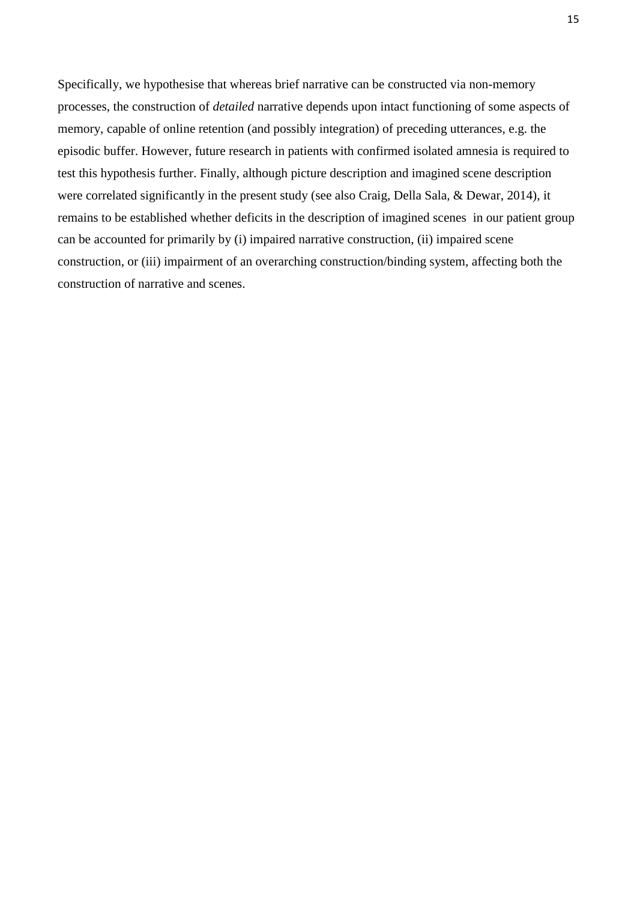Specifically, we hypothesise that whereas brief narrative can be constructed via non-memory processes, the construction of *detailed* narrative depends upon intact functioning of some aspects of memory, capable of online retention (and possibly integration) of preceding utterances, e.g. the episodic buffer. However, future research in patients with confirmed isolated amnesia is required to test this hypothesis further. Finally, although picture description and imagined scene description were correlated significantly in the present study (see also Craig, Della Sala, & Dewar, 2014), it remains to be established whether deficits in the description of imagined scenes in our patient group can be accounted for primarily by (i) impaired narrative construction, (ii) impaired scene construction, or (iii) impairment of an overarching construction/binding system, affecting both the construction of narrative and scenes.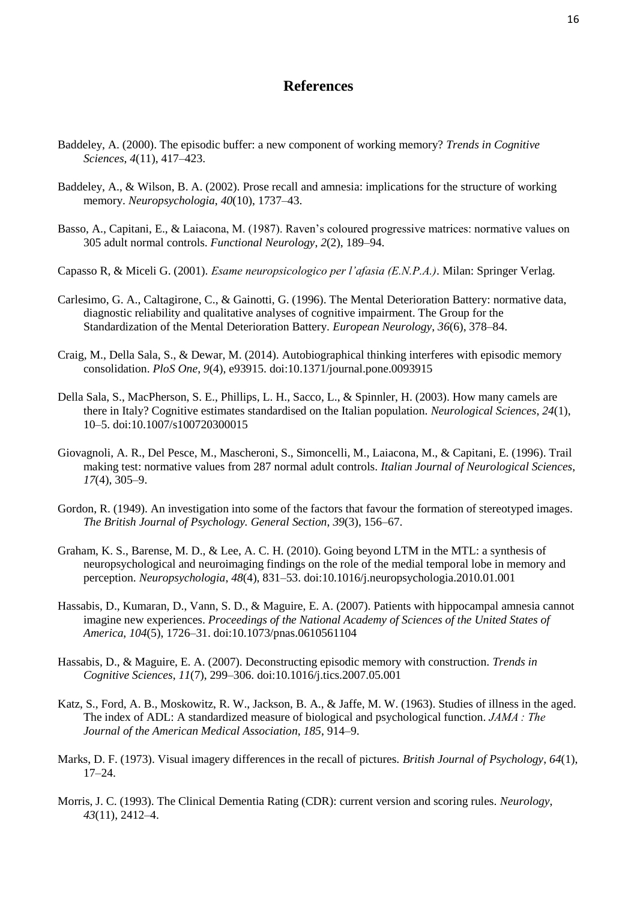## **References**

- Baddeley, A. (2000). The episodic buffer: a new component of working memory? *Trends in Cognitive Sciences*, *4*(11), 417–423.
- Baddeley, A., & Wilson, B. A. (2002). Prose recall and amnesia: implications for the structure of working memory. *Neuropsychologia*, *40*(10), 1737–43.
- Basso, A., Capitani, E., & Laiacona, M. (1987). Raven's coloured progressive matrices: normative values on 305 adult normal controls. *Functional Neurology*, *2*(2), 189–94.
- Capasso R, & Miceli G. (2001). *Esame neuropsicologico per l'afasia (E.N.P.A.)*. Milan: Springer Verlag.
- Carlesimo, G. A., Caltagirone, C., & Gainotti, G. (1996). The Mental Deterioration Battery: normative data, diagnostic reliability and qualitative analyses of cognitive impairment. The Group for the Standardization of the Mental Deterioration Battery. *European Neurology*, *36*(6), 378–84.
- Craig, M., Della Sala, S., & Dewar, M. (2014). Autobiographical thinking interferes with episodic memory consolidation. *PloS One*, *9*(4), e93915. doi:10.1371/journal.pone.0093915
- Della Sala, S., MacPherson, S. E., Phillips, L. H., Sacco, L., & Spinnler, H. (2003). How many camels are there in Italy? Cognitive estimates standardised on the Italian population. *Neurological Sciences*, *24*(1), 10–5. doi:10.1007/s100720300015
- Giovagnoli, A. R., Del Pesce, M., Mascheroni, S., Simoncelli, M., Laiacona, M., & Capitani, E. (1996). Trail making test: normative values from 287 normal adult controls. *Italian Journal of Neurological Sciences*, *17*(4), 305–9.
- Gordon, R. (1949). An investigation into some of the factors that favour the formation of stereotyped images. *The British Journal of Psychology. General Section*, *39*(3), 156–67.
- Graham, K. S., Barense, M. D., & Lee, A. C. H. (2010). Going beyond LTM in the MTL: a synthesis of neuropsychological and neuroimaging findings on the role of the medial temporal lobe in memory and perception. *Neuropsychologia*, *48*(4), 831–53. doi:10.1016/j.neuropsychologia.2010.01.001
- Hassabis, D., Kumaran, D., Vann, S. D., & Maguire, E. A. (2007). Patients with hippocampal amnesia cannot imagine new experiences. *Proceedings of the National Academy of Sciences of the United States of America*, *104*(5), 1726–31. doi:10.1073/pnas.0610561104
- Hassabis, D., & Maguire, E. A. (2007). Deconstructing episodic memory with construction. *Trends in Cognitive Sciences*, *11*(7), 299–306. doi:10.1016/j.tics.2007.05.001
- Katz, S., Ford, A. B., Moskowitz, R. W., Jackson, B. A., & Jaffe, M. W. (1963). Studies of illness in the aged. The index of ADL: A standardized measure of biological and psychological function. *JAMA : The Journal of the American Medical Association*, *185*, 914–9.
- Marks, D. F. (1973). Visual imagery differences in the recall of pictures. *British Journal of Psychology*, *64*(1), 17–24.
- Morris, J. C. (1993). The Clinical Dementia Rating (CDR): current version and scoring rules. *Neurology*, *43*(11), 2412–4.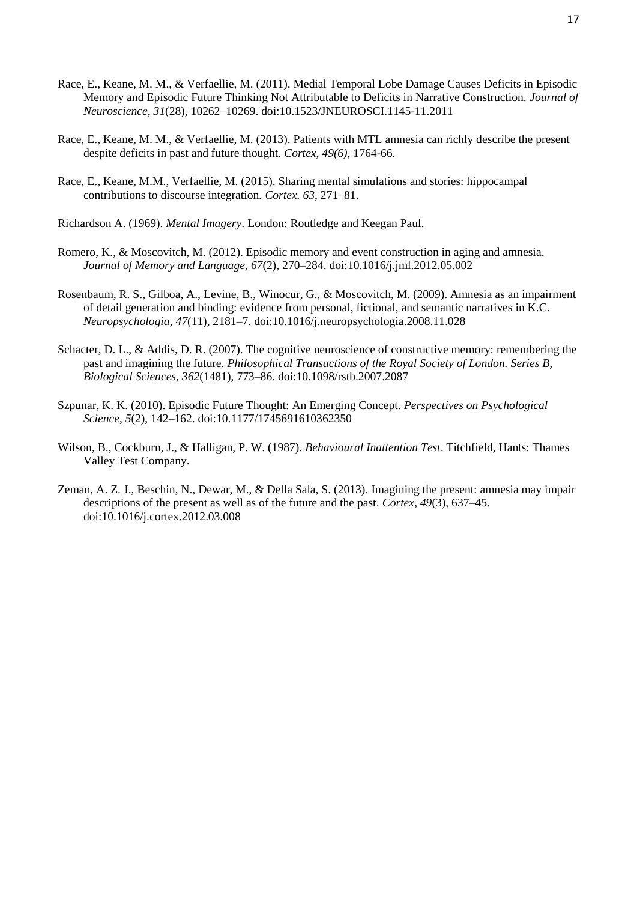- Race, E., Keane, M. M., & Verfaellie, M. (2011). Medial Temporal Lobe Damage Causes Deficits in Episodic Memory and Episodic Future Thinking Not Attributable to Deficits in Narrative Construction. *Journal of Neuroscience*, *31*(28), 10262–10269. doi:10.1523/JNEUROSCI.1145-11.2011
- Race, E., Keane, M. M., & Verfaellie, M. (2013). Patients with MTL amnesia can richly describe the present despite deficits in past and future thought. *Cortex, 49(6)*, 1764-66.
- Race, E., Keane, M.M., Verfaellie, M. (2015). Sharing mental simulations and stories: hippocampal contributions to discourse integration*. Cortex. 63*, 271–81.
- Richardson A. (1969). *Mental Imagery*. London: Routledge and Keegan Paul.
- Romero, K., & Moscovitch, M. (2012). Episodic memory and event construction in aging and amnesia. *Journal of Memory and Language*, *67*(2), 270–284. doi:10.1016/j.jml.2012.05.002
- Rosenbaum, R. S., Gilboa, A., Levine, B., Winocur, G., & Moscovitch, M. (2009). Amnesia as an impairment of detail generation and binding: evidence from personal, fictional, and semantic narratives in K.C. *Neuropsychologia*, *47*(11), 2181–7. doi:10.1016/j.neuropsychologia.2008.11.028
- Schacter, D. L., & Addis, D. R. (2007). The cognitive neuroscience of constructive memory: remembering the past and imagining the future. *Philosophical Transactions of the Royal Society of London. Series B, Biological Sciences*, *362*(1481), 773–86. doi:10.1098/rstb.2007.2087
- Szpunar, K. K. (2010). Episodic Future Thought: An Emerging Concept. *Perspectives on Psychological Science*, *5*(2), 142–162. doi:10.1177/1745691610362350
- Wilson, B., Cockburn, J., & Halligan, P. W. (1987). *Behavioural Inattention Test*. Titchfield, Hants: Thames Valley Test Company.
- Zeman, A. Z. J., Beschin, N., Dewar, M., & Della Sala, S. (2013). Imagining the present: amnesia may impair descriptions of the present as well as of the future and the past. *Cortex*, *49*(3), 637–45. doi:10.1016/j.cortex.2012.03.008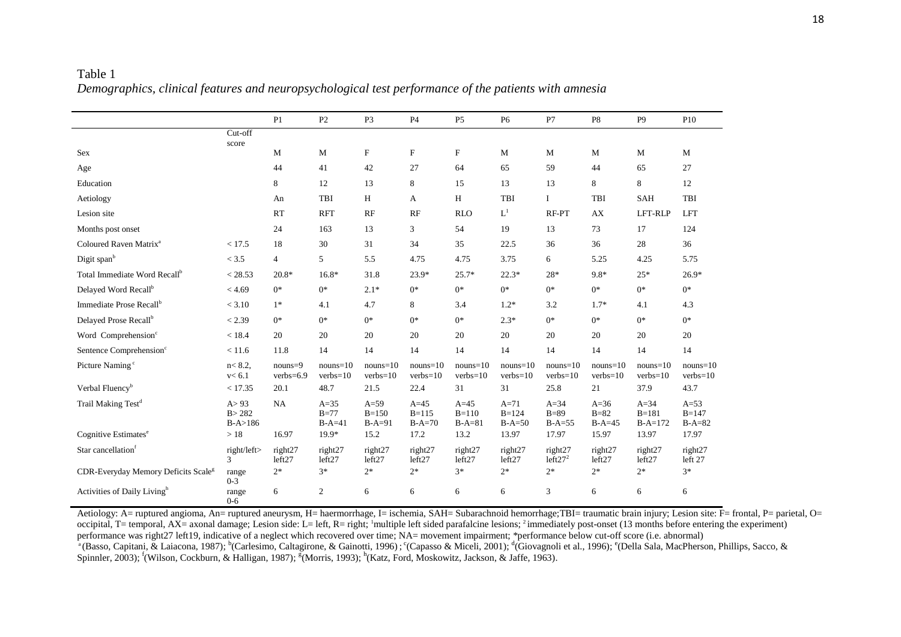|                                                 |                                | P1                         | P2                           | P <sub>3</sub>                  | <b>P4</b>                       | P <sub>5</sub>                | P <sub>6</sub>                  | P7                             | P <sub>8</sub>               | P <sub>9</sub>                 | P10                             |
|-------------------------------------------------|--------------------------------|----------------------------|------------------------------|---------------------------------|---------------------------------|-------------------------------|---------------------------------|--------------------------------|------------------------------|--------------------------------|---------------------------------|
|                                                 | Cut-off<br>score               |                            |                              |                                 |                                 |                               |                                 |                                |                              |                                |                                 |
| Sex                                             |                                | M                          | M                            | $\boldsymbol{\mathrm{F}}$       | $\mathbf F$                     | F                             | M                               | M                              | M                            | M                              | M                               |
| Age                                             |                                | 44                         | 41                           | 42                              | 27                              | 64                            | 65                              | 59                             | 44                           | 65                             | 27                              |
| Education                                       |                                | 8                          | 12                           | 13                              | 8                               | 15                            | 13                              | 13                             | 8                            | 8                              | 12                              |
| Aetiology                                       |                                | An                         | <b>TBI</b>                   | H                               | A                               | H                             | TBI                             | Ι.                             | TBI                          | <b>SAH</b>                     | TBI                             |
| Lesion site                                     |                                | RT                         | <b>RFT</b>                   | RF                              | RF                              | <b>RLO</b>                    | $L^1$                           | RF-PT                          | AX                           | LFT-RLP                        | <b>LFT</b>                      |
| Months post onset                               |                                | 24                         | 163                          | 13                              | 3                               | 54                            | 19                              | 13                             | 73                           | 17                             | 124                             |
| Coloured Raven Matrix <sup>a</sup>              | < 17.5                         | 18                         | 30                           | 31                              | 34                              | 35                            | 22.5                            | 36                             | 36                           | 28                             | 36                              |
| Digit span <sup>b</sup>                         | < 3.5                          | $\overline{4}$             | 5                            | 5.5                             | 4.75                            | 4.75                          | 3.75                            | 6                              | 5.25                         | 4.25                           | 5.75                            |
| Total Immediate Word Recall <sup>b</sup>        | < 28.53                        | $20.8*$                    | $16.8*$                      | 31.8                            | $23.9*$                         | $25.7*$                       | $22.3*$                         | 28*                            | $9.8*$                       | $25*$                          | $26.9*$                         |
| Delayed Word Recall <sup>b</sup>                | < 4.69                         | $0*$                       | $0*$                         | $2.1*$                          | $0*$                            | $0*$                          | $0*$                            | $0*$                           | $0*$                         | $0*$                           | $0^*$                           |
| Immediate Prose Recall <sup>b</sup>             | < 3.10                         | $1*$                       | 4.1                          | 4.7                             | 8                               | 3.4                           | $1.2*$                          | 3.2                            | $1.7*$                       | 4.1                            | 4.3                             |
| Delayed Prose Recall <sup>b</sup>               | < 2.39                         | $0^*$                      | $0*$                         | $0*$                            | $0*$                            | $0*$                          | $2.3*$                          | $0*$                           | $0*$                         | $0*$                           | $0^*$                           |
| Word Comprehension <sup>c</sup>                 | < 18.4                         | 20                         | 20                           | 20                              | 20                              | 20                            | 20                              | 20                             | 20                           | 20                             | 20                              |
| Sentence Comprehension <sup>c</sup>             | < 11.6                         | 11.8                       | 14                           | 14                              | 14                              | 14                            | 14                              | 14                             | 14                           | 14                             | 14                              |
| Picture Naming <sup>c</sup>                     | $n < 8.2$ ,<br>v < 6.1         | $nouns = 9$<br>$verbs=6.9$ | $nouns=10$<br>$verbs=10$     | $nouns=10$<br>$verbs=10$        | $nouns=10$<br>$verbs=10$        | $nouns=10$<br>$verbs=10$      | $nouns=10$<br>$verbs=10$        | $nouns=10$<br>$verbs=10$       | $nouns=10$<br>$verbs=10$     | $nouns=10$<br>$verbs=10$       | $nouns=10$<br>$verbs=10$        |
| Verbal Fluency <sup>b</sup>                     | < 17.35                        | 20.1                       | 48.7                         | 21.5                            | 22.4                            | 31                            | 31                              | 25.8                           | 21                           | 37.9                           | 43.7                            |
| Trail Making Test <sup>d</sup>                  | A > 93<br>B > 282<br>$B-A>186$ | <b>NA</b>                  | $A=35$<br>$B=77$<br>$B-A=41$ | $A=59$<br>$B = 150$<br>$B-A=91$ | $A=45$<br>$B = 115$<br>$B-A=70$ | $A=45$<br>$B=110$<br>$B-A=81$ | $A=71$<br>$B = 124$<br>$B-A=50$ | $A=34$<br>$B=89$<br>$B-A=55$   | $A=36$<br>$B=82$<br>$B-A=45$ | $A=34$<br>$B=181$<br>$B-A=172$ | $A=53$<br>$B = 147$<br>$B-A=82$ |
| Cognitive Estimates <sup>e</sup>                | $>18$                          | 16.97                      | 19.9*                        | 15.2                            | 17.2                            | 13.2                          | 13.97                           | 17.97                          | 15.97                        | 13.97                          | 17.97                           |
| Star cancellation <sup>f</sup>                  | right/left><br>3               | right27<br>left27          | right27<br>left27            | right27<br>left27               | right27<br>left27               | right27<br>left27             | right27<br>left27               | right27<br>left27 <sup>2</sup> | right27<br>left27            | right27<br>left27              | right27<br>left 27              |
| CDR-Everyday Memory Deficits Scale <sup>g</sup> | range<br>$0 - 3$               | $2*$                       | $3*$                         | $2*$                            | $2*$                            | $3*$                          | $2*$                            | $2*$                           | $2*$                         | $2*$                           | $3*$                            |
| Activities of Daily Living <sup>h</sup>         | range<br>$0 - 6$               | 6                          | 2                            | 6                               | 6                               | 6                             | 6                               | 3                              | 6                            | 6                              | 6                               |

Table 1 *Demographics, clinical features and neuropsychological test performance of the patients with amnesia*

Aetiology: A= ruptured angioma, An= ruptured aneurysm, H= haermorrhage, I= ischemia, SAH= Subarachnoid hemorrhage;TBI= traumatic brain injury; Lesion site: F= frontal, P= parietal, O= occipital, T= temporal, AX= axonal damage; Lesion side: L= left, R= right; <sup>1</sup>multiple left sided parafalcine lesions; <sup>2</sup> immediately post-onset (13 months before entering the experiment) performance was right27 left19, indicative of a neglect which recovered over time; NA= movement impairment; \*performance below cut-off score (i.e. abnormal) <sup>a</sup> (Basso, Capitani, & Laiacona, 1987); <sup>b</sup> (Carlesimo, Caltagirone, & Gainotti, 1996); ° (Capasso & Miceli, 2001); <sup>d</sup> (Giovagnoli et al., 1996); ° (Della Sala, MacPherson, Phillips, Sacco, & Spinnler, 2003); <sup>f</sup>(Wilson, Cockburn, & Halligan, 1987); <sup>g</sup>(Morris, 1993); <sup>h</sup>(Katz, Ford, Moskowitz, Jackson, & Jaffe, 1963).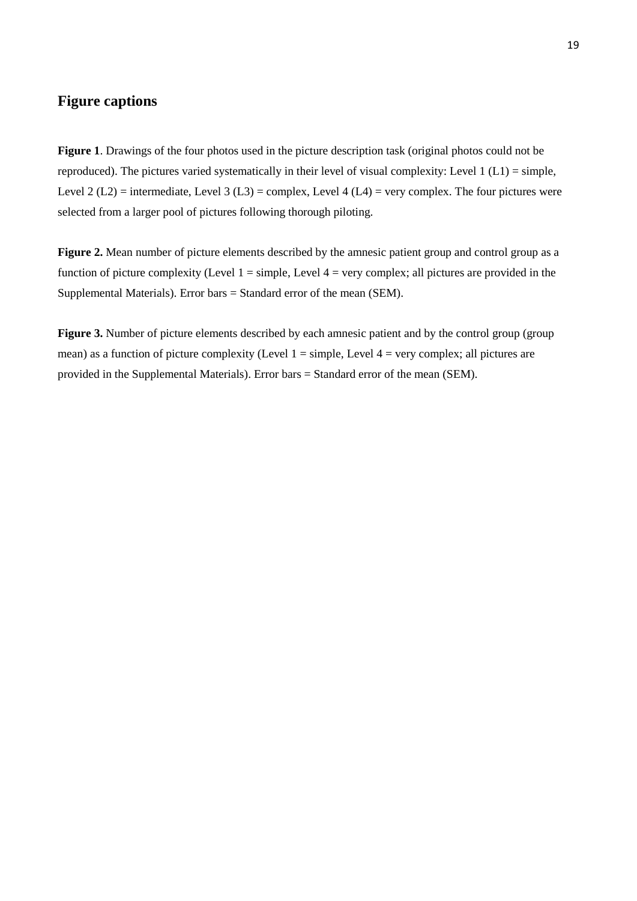## **Figure captions**

**Figure 1**. Drawings of the four photos used in the picture description task (original photos could not be reproduced). The pictures varied systematically in their level of visual complexity: Level 1 (L1) = simple, Level 2 (L2) = intermediate, Level 3 (L3) = complex, Level 4 (L4) = very complex. The four pictures were selected from a larger pool of pictures following thorough piloting.

**Figure 2.** Mean number of picture elements described by the amnesic patient group and control group as a function of picture complexity (Level  $1 =$  simple, Level  $4 =$  very complex; all pictures are provided in the Supplemental Materials). Error bars = Standard error of the mean (SEM).

**Figure 3.** Number of picture elements described by each amnesic patient and by the control group (group) mean) as a function of picture complexity (Level  $1 =$  simple, Level  $4 =$  very complex; all pictures are provided in the Supplemental Materials). Error bars = Standard error of the mean (SEM).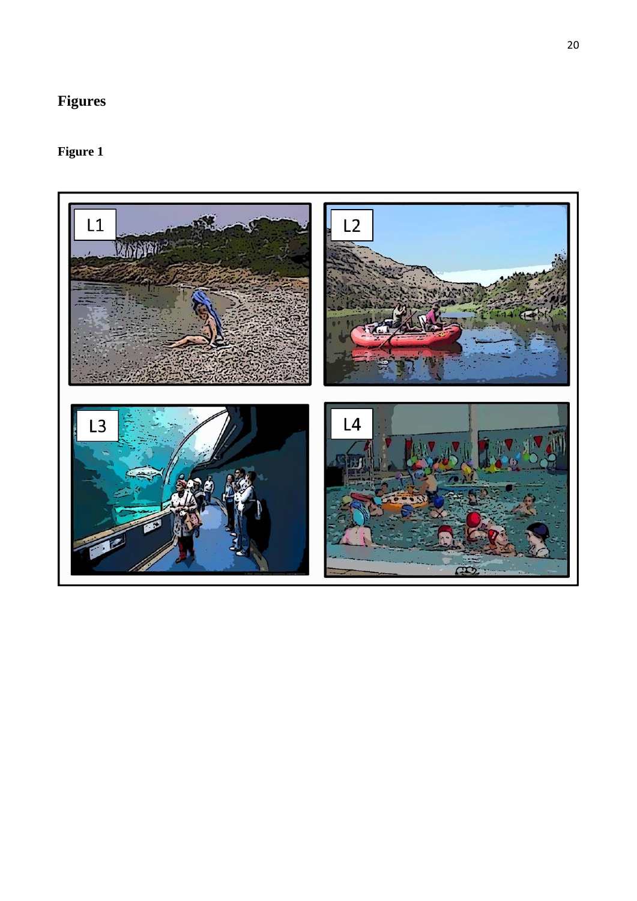# **Figures**

# **Figure 1**

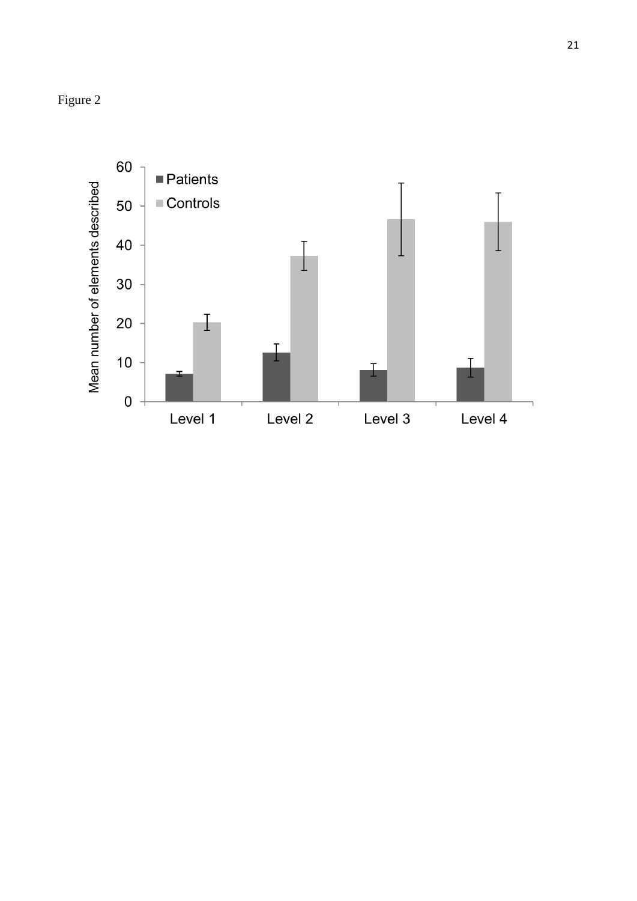

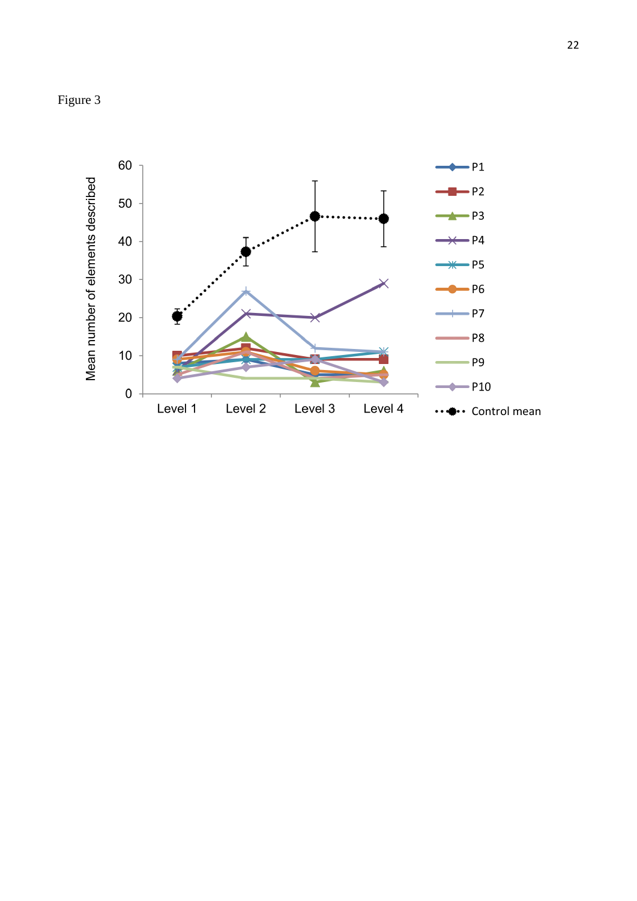

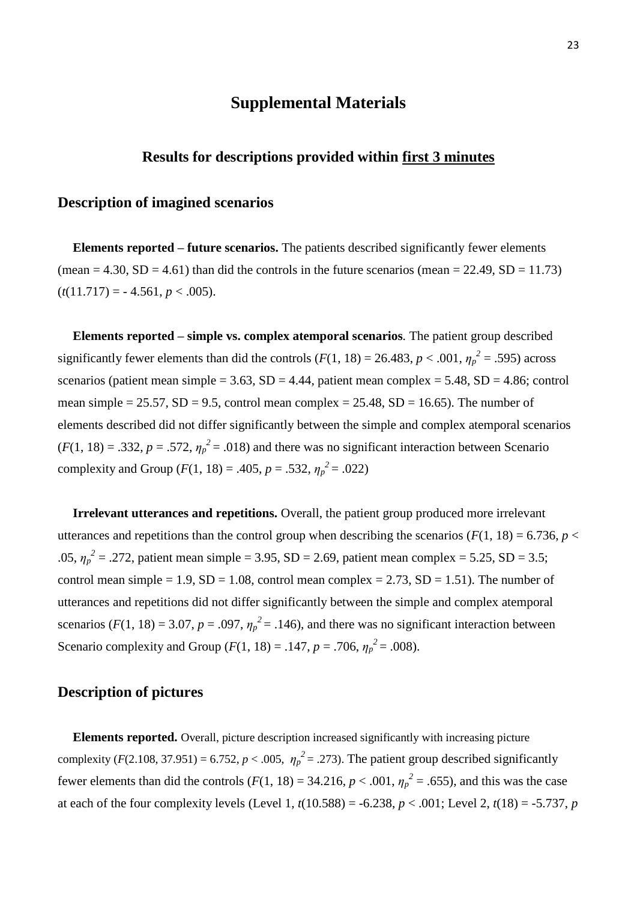# **Supplemental Materials**

## **Results for descriptions provided within first 3 minutes**

### **Description of imagined scenarios**

**Elements reported – future scenarios.** The patients described significantly fewer elements (mean  $= 4.30$ , SD  $= 4.61$ ) than did the controls in the future scenarios (mean  $= 22.49$ , SD  $= 11.73$ )  $(t(11.717) = -4.561, p < .005)$ .

**Elements reported – simple vs. complex atemporal scenarios***.* The patient group described significantly fewer elements than did the controls  $(F(1, 18) = 26.483, p < .001, \eta_p^2 = .595)$  across scenarios (patient mean simple =  $3.63$ , SD =  $4.44$ , patient mean complex =  $5.48$ , SD =  $4.86$ ; control mean simple =  $25.57$ , SD =  $9.5$ , control mean complex =  $25.48$ , SD = 16.65). The number of elements described did not differ significantly between the simple and complex atemporal scenarios  $(F(1, 18) = .332, p = .572, \eta_p^2 = .018)$  and there was no significant interaction between Scenario complexity and Group ( $F(1, 18) = .405$ ,  $p = .532$ ,  $\eta_p^2 = .022$ )

**Irrelevant utterances and repetitions.** Overall, the patient group produced more irrelevant utterances and repetitions than the control group when describing the scenarios ( $F(1, 18) = 6.736$ ,  $p <$ .05,  $\eta_p^2 = .272$ , patient mean simple = 3.95, SD = 2.69, patient mean complex = 5.25, SD = 3.5; control mean simple = 1.9,  $SD = 1.08$ , control mean complex = 2.73,  $SD = 1.51$ ). The number of utterances and repetitions did not differ significantly between the simple and complex atemporal scenarios ( $F(1, 18) = 3.07$ ,  $p = .097$ ,  $\eta_p^2 = .146$ ), and there was no significant interaction between Scenario complexity and Group ( $F(1, 18) = .147$ ,  $p = .706$ ,  $\eta_p^2 = .008$ ).

## **Description of pictures**

**Elements reported.** Overall, picture description increased significantly with increasing picture complexity ( $F(2.108, 37.951) = 6.752$ ,  $p < .005$ ,  $\eta_p^2 = .273$ ). The patient group described significantly fewer elements than did the controls ( $F(1, 18) = 34.216$ ,  $p < .001$ ,  $\eta_p^2 = .655$ ), and this was the case at each of the four complexity levels (Level 1,  $t(10.588) = -6.238$ ,  $p < .001$ ; Level 2,  $t(18) = -5.737$ , *p*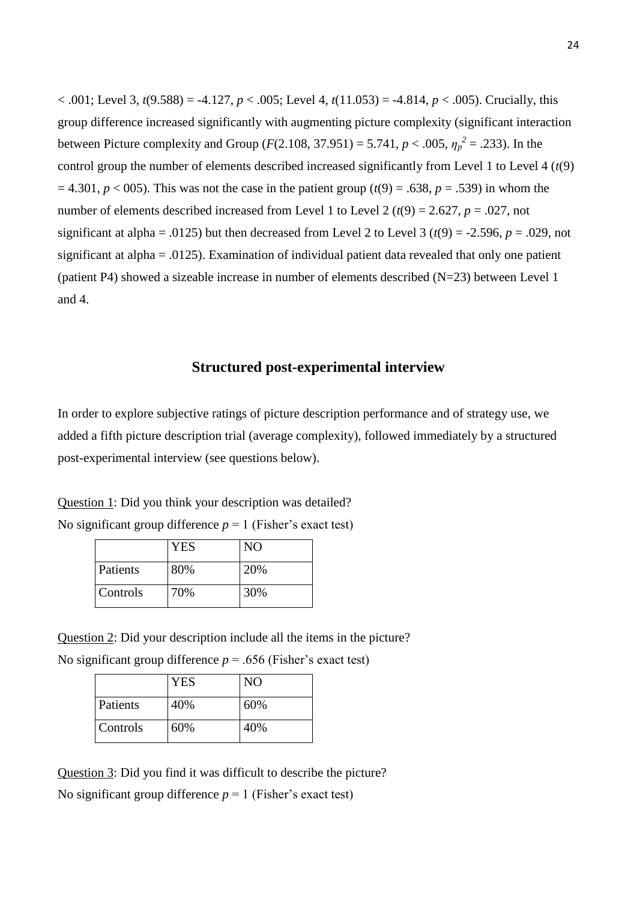$< .001$ ; Level 3, *t*(9.588) = -4.127, *p* < .005; Level 4, *t*(11.053) = -4.814, *p* < .005). Crucially, this group difference increased significantly with augmenting picture complexity (significant interaction between Picture complexity and Group (*F*(2.108, 37.951) = 5.741,  $p < .005$ ,  $\eta_p^2 = .233$ ). In the control group the number of elements described increased significantly from Level 1 to Level 4 (*t*(9)  $= 4.301, p < 005$ ). This was not the case in the patient group ( $t(9) = .638, p = .539$ ) in whom the number of elements described increased from Level 1 to Level 2 ( $t(9) = 2.627$ ,  $p = .027$ , not significant at alpha = .0125) but then decreased from Level 2 to Level 3 ( $t(9)$  = -2.596,  $p = .029$ , not significant at alpha = .0125). Examination of individual patient data revealed that only one patient (patient P4) showed a sizeable increase in number of elements described (N=23) between Level 1 and 4.

## **Structured post-experimental interview**

In order to explore subjective ratings of picture description performance and of strategy use, we added a fifth picture description trial (average complexity), followed immediately by a structured post-experimental interview (see questions below).

Question 1: Did you think your description was detailed?

|          | YES | N <sub>O</sub> |
|----------|-----|----------------|
| Patients | 80% | 20%            |
| Controls | 70% | 30%            |

No significant group difference  $p = 1$  (Fisher's exact test)

Question 2: Did your description include all the items in the picture? No significant group difference  $p = .656$  (Fisher's exact test)

|          | <b>YES</b> | N <sub>O</sub> |
|----------|------------|----------------|
| Patients | 40%        | 60%            |
| Controls | 60%        | 40%            |

Question 3: Did you find it was difficult to describe the picture? No significant group difference  $p = 1$  (Fisher's exact test)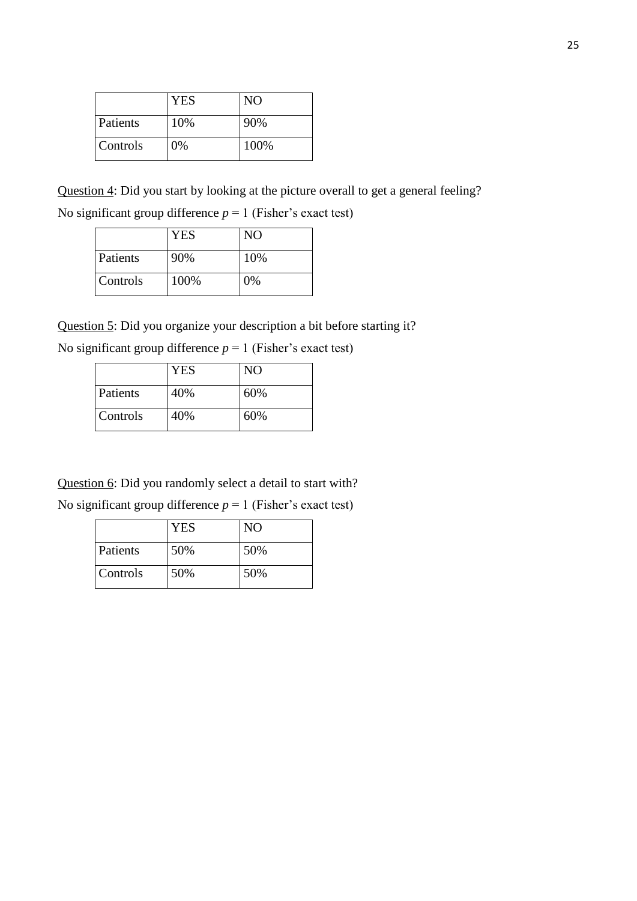|          | <b>YES</b> | N <sub>O</sub> |
|----------|------------|----------------|
| Patients | 10%        | 90%            |
| Controls | 0%         | 100%           |

Question 4: Did you start by looking at the picture overall to get a general feeling?

No significant group difference  $p = 1$  (Fisher's exact test)

|          | <b>YES</b> | N <sub>O</sub> |
|----------|------------|----------------|
| Patients | 90%        | 10%            |
| Controls | 100%       | 0%             |

Question 5: Did you organize your description a bit before starting it?

|          | YES | NO. |
|----------|-----|-----|
| Patients | 40% | 60% |
| Controls | 40% | 60% |

Question 6: Did you randomly select a detail to start with?

No significant group difference  $p = 1$  (Fisher's exact test)

|          | <b>YES</b> | NO  |
|----------|------------|-----|
| Patients | 50%        | 50% |
| Controls | 50%        | 50% |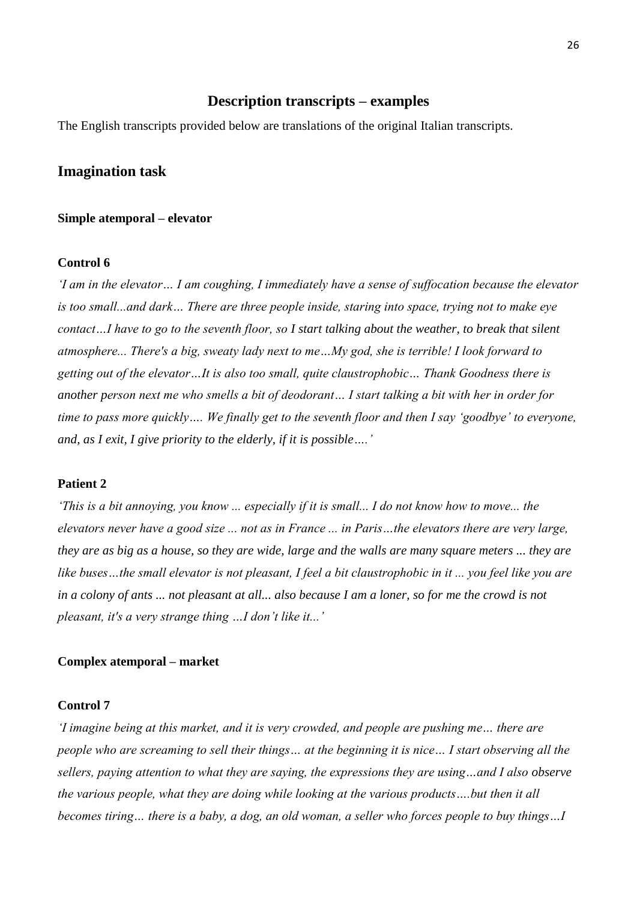# **Description transcripts – examples**

The English transcripts provided below are translations of the original Italian transcripts.

## **Imagination task**

#### **Simple atemporal – elevator**

#### **Control 6**

*'I am in the elevator… I am coughing, I immediately have a sense of suffocation because the elevator is too small...and dark… There are three people inside, staring into space, trying not to make eye contact…I have to go to the seventh floor, so I start talking about the weather, to break that silent atmosphere... There's a big, sweaty lady next to me…My god, she is terrible! I look forward to getting out of the elevator…It is also too small, quite claustrophobic… Thank Goodness there is another person next me who smells a bit of deodorant… I start talking a bit with her in order for time to pass more quickly…. We finally get to the seventh floor and then I say 'goodbye' to everyone, and, as I exit, I give priority to the elderly, if it is possible….'*

#### **Patient 2**

*'This is a bit annoying, you know ... especially if it is small... I do not know how to move... the elevators never have a good size ... not as in France ... in Paris…the elevators there are very large, they are as big as a house, so they are wide, large and the walls are many square meters ... they are like buses…the small elevator is not pleasant, I feel a bit claustrophobic in it ... you feel like you are in a colony of ants ... not pleasant at all... also because I am a loner, so for me the crowd is not pleasant, it's a very strange thing …I don't like it...'*

## **Complex atemporal – market**

#### **Control 7**

*'I imagine being at this market, and it is very crowded, and people are pushing me… there are people who are screaming to sell their things… at the beginning it is nice… I start observing all the sellers, paying attention to what they are saying, the expressions they are using…and I also observe the various people, what they are doing while looking at the various products….but then it all becomes tiring… there is a baby, a dog, an old woman, a seller who forces people to buy things…I*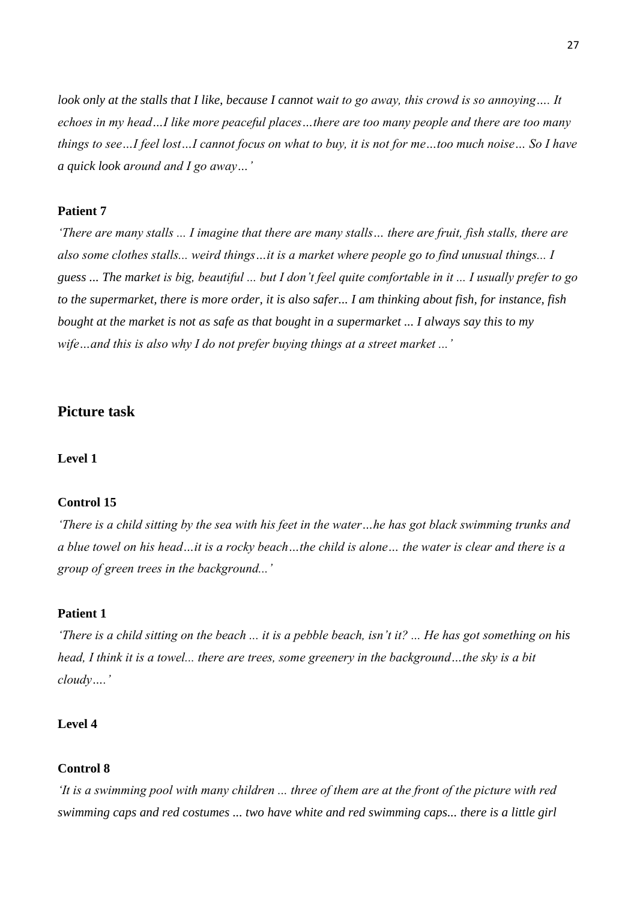*look only at the stalls that I like, because I cannot wait to go away, this crowd is so annoying…. It echoes in my head…I like more peaceful places…there are too many people and there are too many things to see…I feel lost…I cannot focus on what to buy, it is not for me…too much noise… So I have a quick look around and I go away…'*

## **Patient 7**

*'There are many stalls ... I imagine that there are many stalls… there are fruit, fish stalls, there are also some clothes stalls... weird things…it is a market where people go to find unusual things... I guess ... The market is big, beautiful ... but I don't feel quite comfortable in it ... I usually prefer to go to the supermarket, there is more order, it is also safer... I am thinking about fish, for instance, fish bought at the market is not as safe as that bought in a supermarket ... I always say this to my wife…and this is also why I do not prefer buying things at a street market ...'*

## **Picture task**

## **Level 1**

#### **Control 15**

*'There is a child sitting by the sea with his feet in the water…he has got black swimming trunks and a blue towel on his head…it is a rocky beach…the child is alone… the water is clear and there is a group of green trees in the background...'*

## **Patient 1**

*'There is a child sitting on the beach ... it is a pebble beach, isn't it? ... He has got something on his head, I think it is a towel... there are trees, some greenery in the background…the sky is a bit cloudy….'*

## **Level 4**

### **Control 8**

*'It is a swimming pool with many children ... three of them are at the front of the picture with red swimming caps and red costumes ... two have white and red swimming caps... there is a little girl*